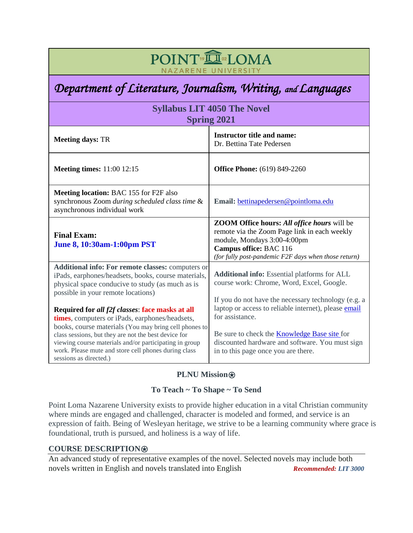# POINT<sup>®</sup>IOMA NAZARENE UNIVERSITY

# *Department of Literature, Journalism, Writing, and Languages*

| <b>Syllabus LIT 4050 The Novel</b><br><b>Spring 2021</b>                                                                                                                                                                                                                                                    |                                                                                                                                                                                                                                    |  |
|-------------------------------------------------------------------------------------------------------------------------------------------------------------------------------------------------------------------------------------------------------------------------------------------------------------|------------------------------------------------------------------------------------------------------------------------------------------------------------------------------------------------------------------------------------|--|
| <b>Meeting days: TR</b>                                                                                                                                                                                                                                                                                     | <b>Instructor title and name:</b><br>Dr. Bettina Tate Pedersen                                                                                                                                                                     |  |
| <b>Meeting times:</b> 11:00 12:15                                                                                                                                                                                                                                                                           | <b>Office Phone:</b> (619) 849-2260                                                                                                                                                                                                |  |
| <b>Meeting location: BAC 155 for F2F also</b><br>synchronous Zoom during scheduled class time &<br>asynchronous individual work                                                                                                                                                                             | Email: bettinapedersen@pointloma.edu                                                                                                                                                                                               |  |
| <b>Final Exam:</b><br><b>June 8, 10:30am-1:00pm PST</b>                                                                                                                                                                                                                                                     | <b>ZOOM Office hours: All office hours</b> will be<br>remote via the Zoom Page link in each weekly<br>module, Mondays 3:00-4:00pm<br>Campus office: BAC 116<br>(for fully post-pandemic F2F days when those return)                |  |
| Additional info: For remote classes: computers or<br>iPads, earphones/headsets, books, course materials,<br>physical space conducive to study (as much as is<br>possible in your remote locations)<br>Required for all f2f classes: face masks at all                                                       | <b>Additional info:</b> Essential platforms for ALL<br>course work: Chrome, Word, Excel, Google.<br>If you do not have the necessary technology (e.g. a<br>laptop or access to reliable internet), please email<br>for assistance. |  |
| times, computers or iPads, earphones/headsets,<br>books, course materials (You may bring cell phones to<br>class sessions, but they are not the best device for<br>viewing course materials and/or participating in group<br>work. Please mute and store cell phones during class<br>sessions as directed.) | Be sure to check the Knowledge Base site for<br>discounted hardware and software. You must sign<br>in to this page once you are there.                                                                                             |  |

# **PLNU Mission**⍟

# **To Teach ~ To Shape ~ To Send**

Point Loma Nazarene University exists to provide higher education in a vital Christian community where minds are engaged and challenged, character is modeled and formed, and service is an expression of faith. Being of Wesleyan heritage, we strive to be a learning community where grace is foundational, truth is pursued, and holiness is a way of life.

# **COURSE DESCRIPTION**⍟

An advanced study of representative examples of the novel. Selected novels may include both novels written in English and novels translated into English *Recommended: LIT 3000*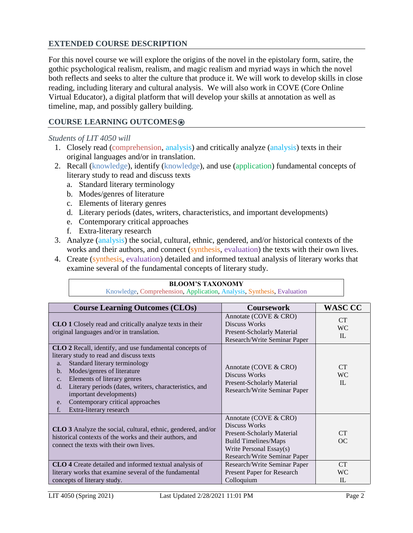### **EXTENDED COURSE DESCRIPTION**

For this novel course we will explore the origins of the novel in the epistolary form, satire, the gothic psychological realism, realism, and magic realism and myriad ways in which the novel both reflects and seeks to alter the culture that produce it. We will work to develop skills in close reading, including literary and cultural analysis. We will also work in COVE (Core Online Virtual Educator), a digital platform that will develop your skills at annotation as well as timeline, map, and possibly gallery building.

### **COURSE LEARNING OUTCOMES**⍟

#### *Students of LIT 4050 will*

- 1. Closely read (comprehension, analysis) and critically analyze (analysis) texts in their original languages and/or in translation.
- 2. Recall (knowledge), identify (knowledge), and use (application) fundamental concepts of literary study to read and discuss texts
	- a. Standard literary terminology
	- b. Modes/genres of literature
	- c. Elements of literary genres
	- d. Literary periods (dates, writers, characteristics, and important developments)
	- e. Contemporary critical approaches
	- f. Extra-literary research
- 3. Analyze (analysis) the social, cultural, ethnic, gendered, and/or historical contexts of the works and their authors, and connect (synthesis, evaluation) the texts with their own lives.
- 4. Create (synthesis, evaluation) detailed and informed textual analysis of literary works that examine several of the fundamental concepts of literary study.

|                                                                                                                                                                    | <b>BLOOM'S TAXONOMY</b>                                                                                                                                                                                                                                                                                                                                      |                                                                                                                                                                              |                              |
|--------------------------------------------------------------------------------------------------------------------------------------------------------------------|--------------------------------------------------------------------------------------------------------------------------------------------------------------------------------------------------------------------------------------------------------------------------------------------------------------------------------------------------------------|------------------------------------------------------------------------------------------------------------------------------------------------------------------------------|------------------------------|
|                                                                                                                                                                    | Knowledge, Comprehension, Application, Analysis, Synthesis, Evaluation                                                                                                                                                                                                                                                                                       |                                                                                                                                                                              |                              |
|                                                                                                                                                                    | <b>Course Learning Outcomes (CLOs)</b>                                                                                                                                                                                                                                                                                                                       | <b>Coursework</b>                                                                                                                                                            | <b>WASC CC</b>               |
|                                                                                                                                                                    | <b>CLO 1</b> Closely read and critically analyze texts in their<br>original languages and/or in translation.                                                                                                                                                                                                                                                 | Annotate (COVE & CRO)<br>Discuss Works<br>Present-Scholarly Material<br>Research/Write Seminar Paper                                                                         | CT<br><b>WC</b><br>IL        |
| a.<br>$\mathbf{b}$ .<br>C <sub>1</sub><br>$d_{\cdot}$<br>e.<br>f.                                                                                                  | <b>CLO 2</b> Recall, identify, and use fundamental concepts of<br>literary study to read and discuss texts<br>Standard literary terminology<br>Modes/genres of literature<br>Elements of literary genres<br>Literary periods (dates, writers, characteristics, and<br>important developments)<br>Contemporary critical approaches<br>Extra-literary research | Annotate (COVE & CRO)<br><b>Discuss Works</b><br><b>Present-Scholarly Material</b><br>Research/Write Seminar Paper                                                           | <b>CT</b><br><b>WC</b><br>IL |
| CLO 3 Analyze the social, cultural, ethnic, gendered, and/or<br>historical contexts of the works and their authors, and<br>connect the texts with their own lives. |                                                                                                                                                                                                                                                                                                                                                              | Annotate (COVE & CRO)<br><b>Discuss Works</b><br><b>Present-Scholarly Material</b><br><b>Build Timelines/Maps</b><br>Write Personal Essay(s)<br>Research/Write Seminar Paper | <b>CT</b><br>OC              |
| CLO 4 Create detailed and informed textual analysis of<br>literary works that examine several of the fundamental<br>concepts of literary study.                    |                                                                                                                                                                                                                                                                                                                                                              | Research/Write Seminar Paper<br>Present Paper for Research<br>Colloquium                                                                                                     | <b>CT</b><br><b>WC</b><br>IL |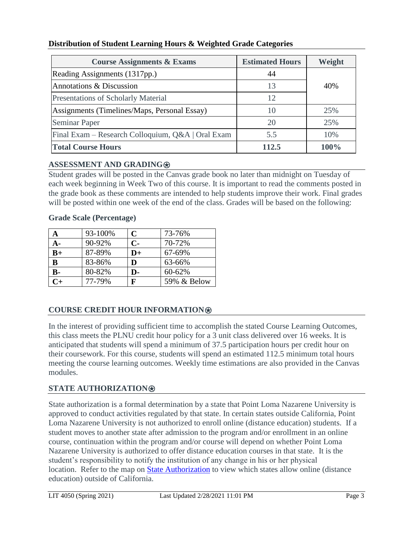| <b>Course Assignments &amp; Exams</b>             | <b>Estimated Hours</b> | Weight |
|---------------------------------------------------|------------------------|--------|
| Reading Assignments (1317pp.)                     | 44                     |        |
| Annotations & Discussion                          | 13                     | 40%    |
| Presentations of Scholarly Material               | 12                     |        |
| Assignments (Timelines/Maps, Personal Essay)      | 10                     | 25%    |
| <b>Seminar Paper</b>                              | 20                     | 25%    |
| Final Exam – Research Colloquium, Q&A   Oral Exam | 5.5                    | 10%    |
| <b>Total Course Hours</b>                         | 112.5                  | 100%   |

### **Distribution of Student Learning Hours & Weighted Grade Categories**

### **ASSESSMENT AND GRADING**⍟

Student grades will be posted in the Canvas grade book no later than midnight on Tuesday of each week beginning in Week Two of this course. It is important to read the comments posted in the grade book as these comments are intended to help students improve their work. Final grades will be posted within one week of the end of the class. Grades will be based on the following:

|       | 93-100% | $\mathbf C$   | 73-76%      |
|-------|---------|---------------|-------------|
| А-    | 90-92%  | $C-$          | 70-72%      |
| $B+$  | 87-89%  | $\mathbf{D}+$ | 67-69%      |
| B     | 83-86%  | D             | 63-66%      |
| $B -$ | 80-82%  | D-            | 60-62%      |
| $C+$  | 77-79%  | F             | 59% & Below |

#### **Grade Scale (Percentage)**

### **COURSE CREDIT HOUR INFORMATION**⍟

In the interest of providing sufficient time to accomplish the stated Course Learning Outcomes, this class meets the PLNU credit hour policy for a 3 unit class delivered over 16 weeks. It is anticipated that students will spend a minimum of 37.5 participation hours per credit hour on their coursework. For this course, students will spend an estimated 112.5 minimum total hours meeting the course learning outcomes. Weekly time estimations are also provided in the Canvas modules.

### **STATE AUTHORIZATION**⍟

State authorization is a formal determination by a state that Point Loma Nazarene University is approved to conduct activities regulated by that state. In certain states outside California, Point Loma Nazarene University is not authorized to enroll online (distance education) students. If a student moves to another state after admission to the program and/or enrollment in an online course, continuation within the program and/or course will depend on whether Point Loma Nazarene University is authorized to offer distance education courses in that state. It is the student's responsibility to notify the institution of any change in his or her physical location. Refer to the map on [State Authorization](https://www.pointloma.edu/offices/office-institutional-effectiveness-research/disclosures) to view which states allow online (distance education) outside of California.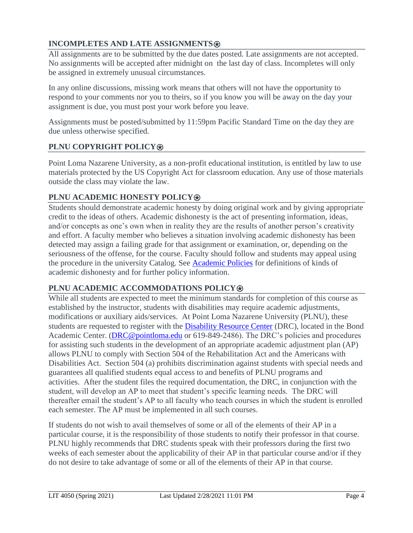# **INCOMPLETES AND LATE ASSIGNMENTS**

All assignments are to be submitted by the due dates posted. Late assignments are not accepted. No assignments will be accepted after midnight on the last day of class. Incompletes will only be assigned in extremely unusual circumstances.

In any online discussions, missing work means that others will not have the opportunity to respond to your comments nor you to theirs, so if you know you will be away on the day your assignment is due, you must post your work before you leave.

Assignments must be posted/submitted by 11:59pm Pacific Standard Time on the day they are due unless otherwise specified.

# **PLNU COPYRIGHT POLICY**⍟

Point Loma Nazarene University, as a non-profit educational institution, is entitled by law to use materials protected by the US Copyright Act for classroom education. Any use of those materials outside the class may violate the law.

# **PLNU ACADEMIC HONESTY POLICY**⍟

Students should demonstrate academic honesty by doing original work and by giving appropriate credit to the ideas of others. Academic dishonesty is the act of presenting information, ideas, and/or concepts as one's own when in reality they are the results of another person's creativity and effort. A faculty member who believes a situation involving academic dishonesty has been detected may assign a failing grade for that assignment or examination, or, depending on the seriousness of the offense, for the course. Faculty should follow and students may appeal using the procedure in the university Catalog. See [Academic Policies](https://catalog.pointloma.edu/content.php?catoid=46&navoid=2650) for definitions of kinds of academic dishonesty and for further policy information.

# **PLNU ACADEMIC ACCOMMODATIONS POLICY<sup>®</sup>**

While all students are expected to meet the minimum standards for completion of this course as established by the instructor, students with disabilities may require academic adjustments, modifications or auxiliary aids/services. At Point Loma Nazarene University (PLNU), these students are requested to register with the [Disability Resource Center](https://www.pointloma.edu/offices/disability-resource-center) (DRC), located in the Bond Academic Center. (DRC@pointloma.edu or 619-849-2486). The DRC's policies and procedures for assisting such students in the development of an appropriate academic adjustment plan (AP) allows PLNU to comply with Section 504 of the Rehabilitation Act and the Americans with Disabilities Act. Section 504 (a) prohibits discrimination against students with special needs and guarantees all qualified students equal access to and benefits of PLNU programs and activities. After the student files the required documentation, the DRC, in conjunction with the student, will develop an AP to meet that student's specific learning needs. The DRC will thereafter email the student's AP to all faculty who teach courses in which the student is enrolled each semester. The AP must be implemented in all such courses.

If students do not wish to avail themselves of some or all of the elements of their AP in a particular course, it is the responsibility of those students to notify their professor in that course. PLNU highly recommends that DRC students speak with their professors during the first two weeks of each semester about the applicability of their AP in that particular course and/or if they do not desire to take advantage of some or all of the elements of their AP in that course.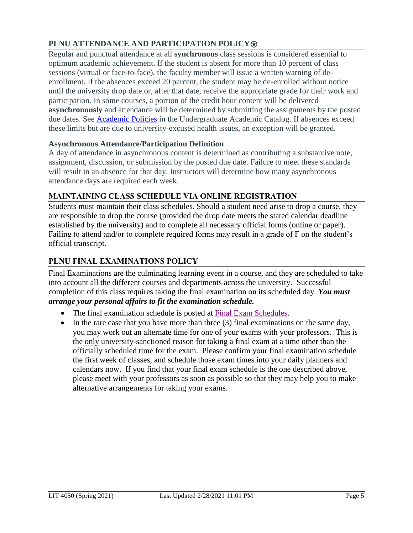# **PLNU ATTENDANCE AND PARTICIPATION POLICY**⍟

Regular and punctual attendance at all **synchronous** class sessions is considered essential to optimum academic achievement. If the student is absent for more than 10 percent of class sessions (virtual or face-to-face), the faculty member will issue a written warning of deenrollment. If the absences exceed 20 percent, the student may be de-enrolled without notice until the university drop date or, after that date, receive the appropriate grade for their work and participation. In some courses, a portion of the credit hour content will be delivered **asynchronously** and attendance will be determined by submitting the assignments by the posted due dates. See [Academic Policies](https://catalog.pointloma.edu/content.php?catoid=46&navoid=2650) in the Undergraduate Academic Catalog. If absences exceed these limits but are due to university-excused health issues, an exception will be granted.

### **Asynchronous Attendance/Participation Definition**

A day of attendance in asynchronous content is determined as contributing a substantive note, assignment, discussion, or submission by the posted due date. Failure to meet these standards will result in an absence for that day. Instructors will determine how many asynchronous attendance days are required each week.

# **MAINTAINING CLASS SCHEDULE VIA ONLINE REGISTRATION**

Students must maintain their class schedules. Should a student need arise to drop a course, they are responsible to drop the course (provided the drop date meets the stated calendar deadline established by the university) and to complete all necessary official forms (online or paper). Failing to attend and/or to complete required forms may result in a grade of F on the student's official transcript.

# **PLNU FINAL EXAMINATIONS POLICY**

Final Examinations are the culminating learning event in a course, and they are scheduled to take into account all the different courses and departments across the university. Successful completion of this class requires taking the final examination on its scheduled day. *You must arrange your personal affairs to fit the examination schedule.* 

- The final examination schedule is posted at [Final Exam Schedules.](https://drive.google.com/file/d/19qmj9RId5_4NaJOjmmIguVPiWomWNYOS/view)
- $\bullet$  In the rare case that you have more than three (3) final examinations on the same day, you may work out an alternate time for one of your exams with your professors. This is the only university-sanctioned reason for taking a final exam at a time other than the officially scheduled time for the exam. Please confirm your final examination schedule the first week of classes, and schedule those exam times into your daily planners and calendars now. If you find that your final exam schedule is the one described above, please meet with your professors as soon as possible so that they may help you to make alternative arrangements for taking your exams.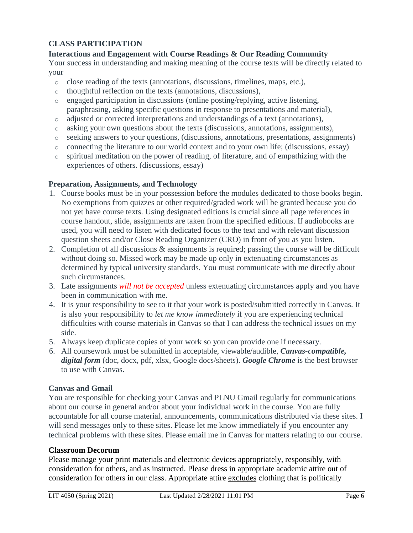### **CLASS PARTICIPATION**

# **Interactions and Engagement with Course Readings & Our Reading Community**

Your success in understanding and making meaning of the course texts will be directly related to your

- o close reading of the texts (annotations, discussions, timelines, maps, etc.),
- o thoughtful reflection on the texts (annotations, discussions),
- o engaged participation in discussions (online posting/replying, active listening, paraphrasing, asking specific questions in response to presentations and material),
- o adjusted or corrected interpretations and understandings of a text (annotations),
- o asking your own questions about the texts (discussions, annotations, assignments),
- o seeking answers to your questions, (discussions, annotations, presentations, assignments)
- o connecting the literature to our world context and to your own life; (discussions, essay)
- o spiritual meditation on the power of reading, of literature, and of empathizing with the experiences of others. (discussions, essay)

### **Preparation, Assignments, and Technology**

- 1. Course books must be in your possession before the modules dedicated to those books begin. No exemptions from quizzes or other required/graded work will be granted because you do not yet have course texts. Using designated editions is crucial since all page references in course handout, slide, assignments are taken from the specified editions. If audiobooks are used, you will need to listen with dedicated focus to the text and with relevant discussion question sheets and/or Close Reading Organizer (CRO) in front of you as you listen.
- 2. Completion of all discussions & assignments is required; passing the course will be difficult without doing so. Missed work may be made up only in extenuating circumstances as determined by typical university standards. You must communicate with me directly about such circumstances.
- 3. Late assignments *will not be accepted* unless extenuating circumstances apply and you have been in communication with me.
- 4. It is your responsibility to see to it that your work is posted/submitted correctly in Canvas. It is also your responsibility to *let me know immediately* if you are experiencing technical difficulties with course materials in Canvas so that I can address the technical issues on my side.
- 5. Always keep duplicate copies of your work so you can provide one if necessary.
- 6. All coursework must be submitted in acceptable, viewable/audible, *Canvas-compatible, digital form* (doc, docx, pdf, xlsx, Google docs/sheets). *Google Chrome* is the best browser to use with Canvas.

### **Canvas and Gmail**

You are responsible for checking your Canvas and PLNU Gmail regularly for communications about our course in general and/or about your individual work in the course. You are fully accountable for all course material, announcements, communications distributed via these sites. I will send messages only to these sites. Please let me know immediately if you encounter any technical problems with these sites. Please email me in Canvas for matters relating to our course.

### **Classroom Decorum**

Please manage your print materials and electronic devices appropriately, responsibly, with consideration for others, and as instructed. Please dress in appropriate academic attire out of consideration for others in our class. Appropriate attire excludes clothing that is politically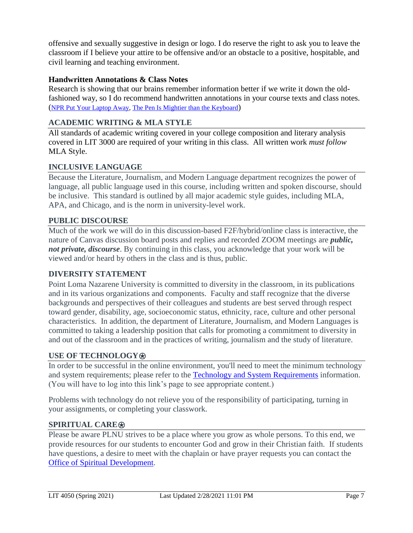offensive and sexually suggestive in design or logo. I do reserve the right to ask you to leave the classroom if I believe your attire to be offensive and/or an obstacle to a positive, hospitable, and civil learning and teaching environment.

# **Handwritten Annotations & Class Notes**

Research is showing that our brains remember information better if we write it down the oldfashioned way, so I do recommend handwritten annotations in your course texts and class notes. ([NPR Put Your Laptop Away,](https://www.npr.org/2016/04/17/474525392/attention-students-put-your-laptops-away) [The Pen Is Mightier than the Keyboard](https://cpb-us-w2.wpmucdn.com/sites.udel.edu/dist/6/132/files/2010/11/Psychological-Science-2014-Mueller-0956797614524581-1u0h0yu.pdf))

# **ACADEMIC WRITING & MLA STYLE**

All standards of academic writing covered in your college composition and literary analysis covered in LIT 3000 are required of your writing in this class. All written work *must follow* MLA Style.

# **INCLUSIVE LANGUAGE**

Because the Literature, Journalism, and Modern Language department recognizes the power of language, all public language used in this course, including written and spoken discourse, should be inclusive. This standard is outlined by all major academic style guides, including MLA, APA, and Chicago, and is the norm in university-level work.

# **PUBLIC DISCOURSE**

Much of the work we will do in this discussion-based F2F/hybrid/online class is interactive, the nature of Canvas discussion board posts and replies and recorded ZOOM meetings are *public, not private, discourse*. By continuing in this class, you acknowledge that your work will be viewed and/or heard by others in the class and is thus, public.

# **DIVERSITY STATEMENT**

Point Loma Nazarene University is committed to diversity in the classroom, in its publications and in its various organizations and components. Faculty and staff recognize that the diverse backgrounds and perspectives of their colleagues and students are best served through respect toward gender, disability, age, socioeconomic status, ethnicity, race, culture and other personal characteristics. In addition, the department of Literature, Journalism, and Modern Languages is committed to taking a leadership position that calls for promoting a commitment to diversity in and out of the classroom and in the practices of writing, journalism and the study of literature.

# **USE OF TECHNOLOGY**⍟

In order to be successful in the online environment, you'll need to meet the minimum technology and system requirements; please refer to the [Technology and System Requirements](https://help.pointloma.edu/TDClient/1808/Portal/KB/ArticleDet?ID=108349) information. (You will have to log into this link's page to see appropriate content.)

Problems with technology do not relieve you of the responsibility of participating, turning in your assignments, or completing your classwork.

# **SPIRITUAL CARE**⍟

Please be aware PLNU strives to be a place where you grow as whole persons. To this end, we provide resources for our students to encounter God and grow in their Christian faith. If students have questions, a desire to meet with the chaplain or have prayer requests you can contact the [Office of Spiritual Development.](https://www.pointloma.edu/offices/spiritual-development)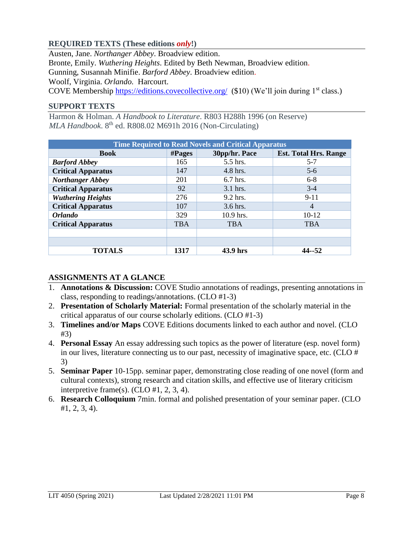### **REQUIRED TEXTS (These editions** *only***!)**

Austen, Jane. *Northanger Abbey*. Broadview edition. Bronte, Emily. *Wuthering Heights*. Edited by Beth Newman, Broadview edition. Gunning, Susannah Minifie. *Barford Abbey*. Broadview edition. Woolf, Virginia. *Orlando.* Harcourt. COVE Membership<https://editions.covecollective.org/>(\$10) (We'll join during 1<sup>st</sup> class.)

#### **SUPPORT TEXTS**

Harmon & Holman. *A Handbook to Literature*. R803 H288h 1996 (on Reserve) *MLA Handbook*. 8th ed. R808.02 M691h 2016 (Non-Circulating)

| <b>Time Required to Read Novels and Critical Apparatus</b> |            |               |                              |
|------------------------------------------------------------|------------|---------------|------------------------------|
| <b>Book</b>                                                | # Pages    | 30pp/hr. Pace | <b>Est. Total Hrs. Range</b> |
| <b>Barford Abbey</b>                                       | 165        | 5.5 hrs.      | $5 - 7$                      |
| <b>Critical Apparatus</b>                                  | 147        | 4.8 hrs.      | $5 - 6$                      |
| <b>Northanger Abbey</b>                                    | 201        | $6.7$ hrs.    | $6-8$                        |
| <b>Critical Apparatus</b>                                  | 92         | $3.1$ hrs.    | $3-4$                        |
| <b>Wuthering Heights</b>                                   | 276        | $9.2$ hrs.    | $9-11$                       |
| <b>Critical Apparatus</b>                                  | 107        | $3.6$ hrs.    | $\overline{4}$               |
| <b>Orlando</b>                                             | 329        | 10.9 hrs.     | $10-12$                      |
| <b>Critical Apparatus</b>                                  | <b>TBA</b> | <b>TBA</b>    | <b>TBA</b>                   |
|                                                            |            |               |                              |
|                                                            |            |               |                              |
| <b>TOTALS</b>                                              | 1317       | 43.9 hrs      | $44 - 52$                    |

### **ASSIGNMENTS AT A GLANCE**

- 1. **Annotations & Discussion:** COVE Studio annotations of readings, presenting annotations in class, responding to readings/annotations. (CLO #1-3)
- 2. **Presentation of Scholarly Material:** Formal presentation of the scholarly material in the critical apparatus of our course scholarly editions. (CLO #1-3)
- 3. **Timelines and/or Maps** COVE Editions documents linked to each author and novel. (CLO #3)
- 4. **Personal Essay** An essay addressing such topics as the power of literature (esp. novel form) in our lives, literature connecting us to our past, necessity of imaginative space, etc. (CLO # 3)
- 5. **Seminar Paper** 10-15pp. seminar paper, demonstrating close reading of one novel (form and cultural contexts), strong research and citation skills, and effective use of literary criticism interpretive frame(s). (CLO #1, 2, 3, 4).
- 6. **Research Colloquium** 7min. formal and polished presentation of your seminar paper. (CLO #1, 2, 3, 4).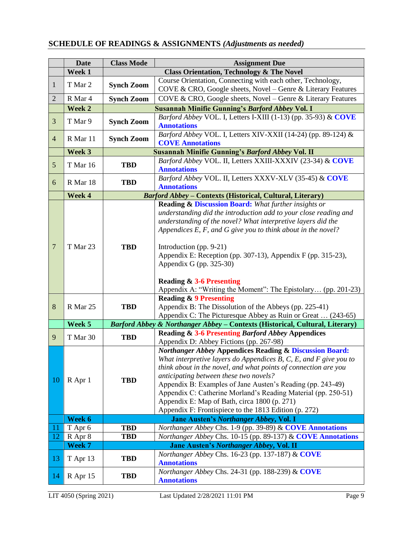# **SCHEDULE OF READINGS & ASSIGNMENTS** *(Adjustments as needed)*

|                 | <b>Date</b> | <b>Class Mode</b>                                      | <b>Assignment Due</b>                                                                                                |  |  |
|-----------------|-------------|--------------------------------------------------------|----------------------------------------------------------------------------------------------------------------------|--|--|
|                 | Week 1      | <b>Class Orientation, Technology &amp; The Novel</b>   |                                                                                                                      |  |  |
| 1               | T Mar 2     |                                                        | Course Orientation, Connecting with each other, Technology,                                                          |  |  |
|                 |             | <b>Synch Zoom</b>                                      | COVE & CRO, Google sheets, Novel - Genre & Literary Features                                                         |  |  |
| $\overline{2}$  | R Mar 4     | <b>Synch Zoom</b>                                      | COVE & CRO, Google sheets, Novel - Genre & Literary Features                                                         |  |  |
|                 | Week 2      | <b>Susannah Minifie Gunning's Barford Abbey Vol. I</b> |                                                                                                                      |  |  |
| 3               | T Mar 9     | <b>Synch Zoom</b>                                      | Barford Abbey VOL. I, Letters I-XIII (1-13) (pp. 35-93) & COVE                                                       |  |  |
|                 |             |                                                        | <b>Annotations</b>                                                                                                   |  |  |
| $\overline{4}$  | R Mar 11    | <b>Synch Zoom</b>                                      | Barford Abbey VOL. I, Letters XIV-XXII (14-24) (pp. 89-124) &                                                        |  |  |
|                 | Week 3      |                                                        | <b>COVE Annotations</b>                                                                                              |  |  |
|                 |             |                                                        | <b>Susannah Minifie Gunning's Barford Abbey Vol. II</b><br>Barford Abbey VOL. II, Letters XXIII-XXXIV (23-34) & COVE |  |  |
| 5               | T Mar 16    | <b>TBD</b>                                             | <b>Annotations</b>                                                                                                   |  |  |
|                 |             |                                                        | Barford Abbey VOL. II, Letters XXXV-XLV (35-45) & COVE                                                               |  |  |
| 6               | R Mar 18    | <b>TBD</b>                                             | <b>Annotations</b>                                                                                                   |  |  |
|                 | Week 4      |                                                        | <b>Barford Abbey - Contexts (Historical, Cultural, Literary)</b>                                                     |  |  |
|                 |             |                                                        | <b>Reading &amp; Discussion Board:</b> What further insights or                                                      |  |  |
|                 |             |                                                        | understanding did the introduction add to your close reading and                                                     |  |  |
|                 |             |                                                        | understanding of the novel? What interpretive layers did the                                                         |  |  |
|                 |             |                                                        | Appendices $E$ , $F$ , and $G$ give you to think about in the novel?                                                 |  |  |
|                 |             |                                                        |                                                                                                                      |  |  |
| $7\phantom{.0}$ | T Mar 23    | <b>TBD</b>                                             | Introduction (pp. $9-21$ )                                                                                           |  |  |
|                 |             |                                                        | Appendix E: Reception (pp. 307-13), Appendix F (pp. 315-23),                                                         |  |  |
|                 |             |                                                        | Appendix G (pp. $325-30$ )                                                                                           |  |  |
|                 |             |                                                        |                                                                                                                      |  |  |
|                 |             |                                                        | <b>Reading &amp; 3-6 Presenting</b>                                                                                  |  |  |
|                 |             |                                                        | Appendix A: "Writing the Moment": The Epistolary (pp. 201-23)                                                        |  |  |
|                 |             |                                                        | <b>Reading &amp; 9 Presenting</b>                                                                                    |  |  |
| 8               | R Mar 25    | <b>TBD</b>                                             | Appendix B: The Dissolution of the Abbeys (pp. 225-41)                                                               |  |  |
|                 |             |                                                        | Appendix C: The Picturesque Abbey as Ruin or Great  (243-65)                                                         |  |  |
|                 | Week 5      |                                                        | Barford Abbey & Northanger Abbey - Contexts (Historical, Cultural, Literary)                                         |  |  |
|                 |             |                                                        | <b>Reading &amp; 3-6 Presenting Barford Abbey Appendices</b>                                                         |  |  |
| 9               | T Mar 30    | <b>TBD</b>                                             | Appendix D: Abbey Fictions (pp. 267-98)                                                                              |  |  |
|                 |             |                                                        | <b>Northanger Abbey Appendices Reading &amp; Discussion Board:</b>                                                   |  |  |
|                 |             |                                                        | What interpretive layers do Appendices B, C, E, and $F$ give you to                                                  |  |  |
|                 |             |                                                        |                                                                                                                      |  |  |
|                 |             |                                                        | think about in the novel, and what points of connection are you                                                      |  |  |
| 10              | R Apr 1     | <b>TBD</b>                                             | anticipating between these two novels?                                                                               |  |  |
|                 |             |                                                        | Appendix B: Examples of Jane Austen's Reading (pp. 243-49)                                                           |  |  |
|                 |             |                                                        | Appendix C: Catherine Morland's Reading Material (pp. 250-51)                                                        |  |  |
|                 |             |                                                        | Appendix E: Map of Bath, circa 1800 (p. 271)                                                                         |  |  |
|                 |             |                                                        | Appendix F: Frontispiece to the 1813 Edition (p. 272)                                                                |  |  |
|                 | Week 6      |                                                        | Jane Austen's Northanger Abbey, Vol. I                                                                               |  |  |
| 11              | T Apr 6     | <b>TBD</b>                                             | Northanger Abbey Chs. 1-9 (pp. 39-89) & COVE Annotations                                                             |  |  |
| 12              | R Apr 8     | <b>TBD</b>                                             | Northanger Abbey Chs. 10-15 (pp. 89-137) & COVE Annotations                                                          |  |  |
|                 | Week 7      |                                                        | Jane Austen's Northanger Abbey, Vol. II                                                                              |  |  |
| 13              | T Apr 13    | <b>TBD</b>                                             | Northanger Abbey Chs. 16-23 (pp. 137-187) & COVE                                                                     |  |  |
|                 |             |                                                        | <b>Annotations</b>                                                                                                   |  |  |
| 14              | R Apr 15    | <b>TBD</b>                                             | Northanger Abbey Chs. 24-31 (pp. 188-239) & COVE                                                                     |  |  |
|                 |             |                                                        | <b>Annotations</b>                                                                                                   |  |  |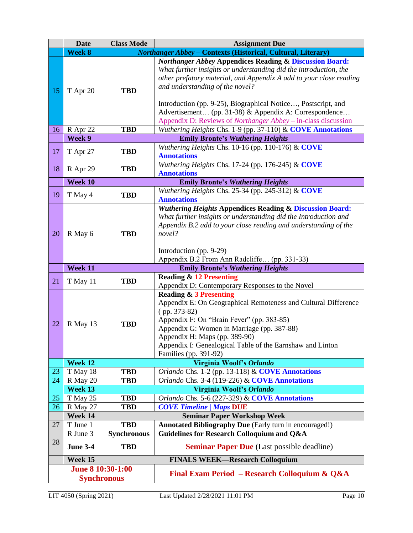|                                         | <b>Date</b>                                                                   | <b>Class Mode</b>  | <b>Assignment Due</b>                                                                                                                                                                                                                                                                                                                                                                                                                              |  |  |
|-----------------------------------------|-------------------------------------------------------------------------------|--------------------|----------------------------------------------------------------------------------------------------------------------------------------------------------------------------------------------------------------------------------------------------------------------------------------------------------------------------------------------------------------------------------------------------------------------------------------------------|--|--|
|                                         | Week 8<br><b>Northanger Abbey - Contexts (Historical, Cultural, Literary)</b> |                    |                                                                                                                                                                                                                                                                                                                                                                                                                                                    |  |  |
| 15                                      | T Apr 20                                                                      | <b>TBD</b>         | <b>Northanger Abbey Appendices Reading &amp; Discussion Board:</b><br>What further insights or understanding did the introduction, the<br>other prefatory material, and Appendix A add to your close reading<br>and understanding of the novel?<br>Introduction (pp. 9-25), Biographical Notice, Postscript, and<br>Advertisement (pp. 31-38) & Appendix A: Correspondence<br>Appendix D: Reviews of <i>Northanger Abbey</i> – in-class discussion |  |  |
| 16                                      | R Apr 22                                                                      | <b>TBD</b>         | Wuthering Heights Chs. 1-9 (pp. 37-110) & COVE Annotations                                                                                                                                                                                                                                                                                                                                                                                         |  |  |
|                                         | Week 9                                                                        |                    | <b>Emily Bronte's Wuthering Heights</b>                                                                                                                                                                                                                                                                                                                                                                                                            |  |  |
| 17                                      | T Apr 27                                                                      | <b>TBD</b>         | Wuthering Heights Chs. 10-16 (pp. 110-176) & COVE<br><b>Annotations</b>                                                                                                                                                                                                                                                                                                                                                                            |  |  |
| 18                                      | R Apr 29                                                                      | <b>TBD</b>         | Wuthering Heights Chs. 17-24 (pp. 176-245) & COVE<br><b>Annotations</b>                                                                                                                                                                                                                                                                                                                                                                            |  |  |
|                                         | Week 10                                                                       |                    | <b>Emily Bronte's Wuthering Heights</b>                                                                                                                                                                                                                                                                                                                                                                                                            |  |  |
| 19                                      | T May 4                                                                       | <b>TBD</b>         | Wuthering Heights Chs. 25-34 (pp. 245-312) $& \text{Cove}$<br><b>Annotations</b>                                                                                                                                                                                                                                                                                                                                                                   |  |  |
| 20                                      | R May 6                                                                       | <b>TBD</b>         | <b>Wuthering Heights Appendices Reading &amp; Discussion Board:</b><br>What further insights or understanding did the Introduction and<br>Appendix B.2 add to your close reading and understanding of the<br>novel?<br>Introduction (pp. 9-29)<br>Appendix B.2 From Ann Radcliffe (pp. 331-33)                                                                                                                                                     |  |  |
|                                         | Week 11                                                                       |                    | <b>Emily Bronte's Wuthering Heights</b>                                                                                                                                                                                                                                                                                                                                                                                                            |  |  |
| 21                                      | T May 11                                                                      | <b>TBD</b>         | <b>Reading &amp; 12 Presenting</b><br>Appendix D: Contemporary Responses to the Novel                                                                                                                                                                                                                                                                                                                                                              |  |  |
| 22                                      | R May 13                                                                      | <b>TBD</b>         | <b>Reading &amp; 3 Presenting</b><br>Appendix E: On Geographical Remoteness and Cultural Difference<br>$(pp. 373-82)$<br>Appendix F: On "Brain Fever" (pp. 383-85)<br>Appendix G: Women in Marriage (pp. 387-88)<br>Appendix H: Maps (pp. 389-90)<br>Appendix I: Genealogical Table of the Earnshaw and Linton<br>Families (pp. 391-92)                                                                                                            |  |  |
|                                         | Week 12                                                                       |                    | Virginia Woolf's Orlando                                                                                                                                                                                                                                                                                                                                                                                                                           |  |  |
| 23                                      | T May 18                                                                      | <b>TBD</b>         | Orlando Chs. 1-2 (pp. 13-118) & COVE Annotations                                                                                                                                                                                                                                                                                                                                                                                                   |  |  |
| 24                                      | R May 20                                                                      | <b>TBD</b>         | Orlando Chs. 3-4 (119-226) & COVE Annotations                                                                                                                                                                                                                                                                                                                                                                                                      |  |  |
|                                         | Week 13                                                                       |                    | Virginia Woolf's Orlando                                                                                                                                                                                                                                                                                                                                                                                                                           |  |  |
| 25                                      | T May 25                                                                      | <b>TBD</b>         | Orlando Chs. 5-6 (227-329) & COVE Annotations                                                                                                                                                                                                                                                                                                                                                                                                      |  |  |
| 26                                      | R May 27                                                                      | <b>TBD</b>         | <b>COVE Timeline / Maps DUE</b>                                                                                                                                                                                                                                                                                                                                                                                                                    |  |  |
|                                         | Week 14                                                                       |                    | <b>Seminar Paper Workshop Week</b>                                                                                                                                                                                                                                                                                                                                                                                                                 |  |  |
| 27                                      | T June 1                                                                      | <b>TBD</b>         | Annotated Bibliography Due (Early turn in encouraged!)                                                                                                                                                                                                                                                                                                                                                                                             |  |  |
|                                         | R June 3                                                                      | <b>Synchronous</b> | <b>Guidelines for Research Colloquium and Q&amp;A</b>                                                                                                                                                                                                                                                                                                                                                                                              |  |  |
| 28                                      | <b>June 3-4</b>                                                               | <b>TBD</b>         | <b>Seminar Paper Due</b> (Last possible deadline)                                                                                                                                                                                                                                                                                                                                                                                                  |  |  |
|                                         | Week 15                                                                       |                    | <b>FINALS WEEK-Research Colloquium</b>                                                                                                                                                                                                                                                                                                                                                                                                             |  |  |
| June 8 10:30-1:00<br><b>Synchronous</b> |                                                                               |                    | Final Exam Period – Research Colloquium & Q&A                                                                                                                                                                                                                                                                                                                                                                                                      |  |  |